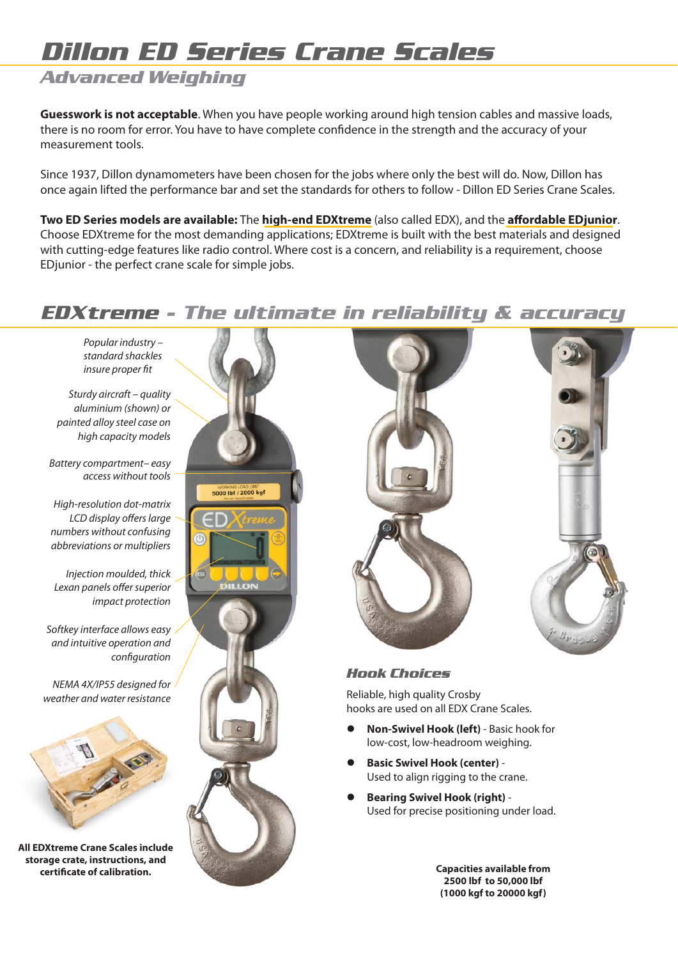# *Dillon ED Series Crane Scales*

## *Advanced Weighing*

**Guesswork is not acceptable**. When you have people working around high tension cables and massive loads, there is no room for error. You have to have complete confidence in the strength and the accuracy of your measurement tools.

Since 1937, Dillon dynamometers have been chosen for the jobs where only the best will do. Now, Dillon has once again lifted the performance bar and set the standards for others to follow - Dillon ED Series Crane Scales.

**Two ED Series models are available:** The **high-end EDXtreme** (also called EDX), and the **affordable EDjunior**. Choose EDXtreme for the most demanding applications; EDXtreme is built with the best materials and designed with cutting-edge features like radio control. Where cost is a concern, and reliability is a requirement, choose EDjunior - the perfect crane scale for simple jobs.

## *EDXtreme - The ultimate in reliability & accuracy*

Popular industry – standard shackles insure proper fit

Sturdy aircraft – quality aluminium (shown) or painted alloy steel case on high capacity models

Battery compartment– easy access without tools

High-resolution dot-matrix LCD display offers large numbers without confusing abbreviations or multipliers

Injection moulded, thick Lexan panels offer superior impact protection

Softkey interface allows easy and intuitive operation and configuration

NEMA 4X/IP55 designed for weather and water resistance



**All EDXtreme Crane Scales include storage crate, instructions, and certificate of calibration. Capacities available from** 





### *Hook Choices*

Reliable, high quality Crosby hooks are used on all EDX Crane Scales.

- **Non-Swivel Hook (left)** Basic hook for low-cost, low-headroom weighing.
- **Basic Swivel Hook (center)** Used to align rigging to the crane.
- **Bearing Swivel Hook (right)** Used for precise positioning under load.

**2500 lbf to 50,000 lbf (1000 kgf to 20000 kgf)**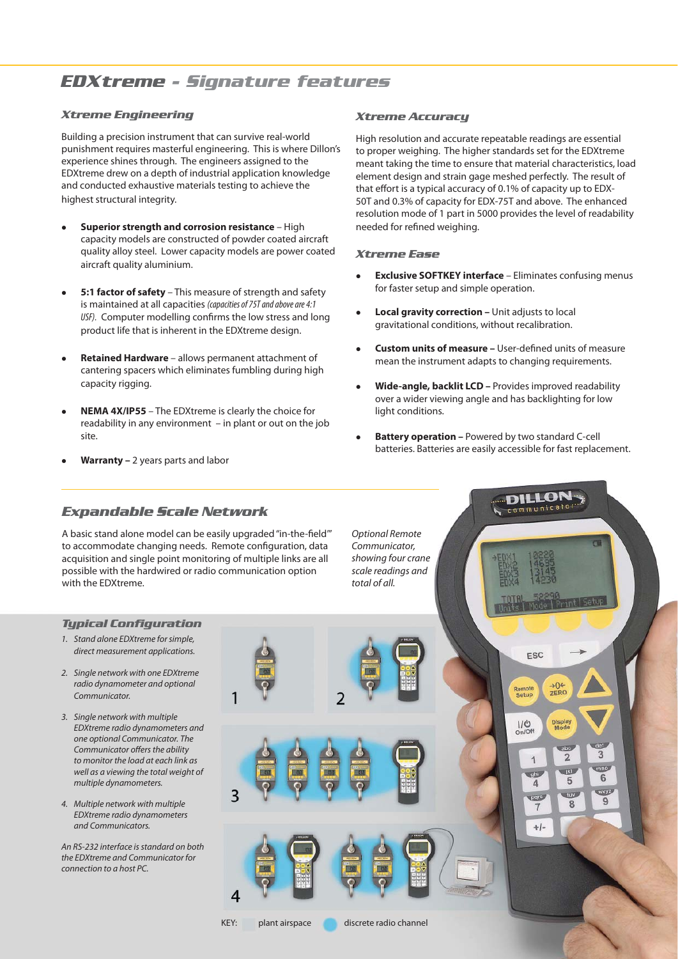## *EDXtreme - Signature features*

#### *Xtreme Engineering*

Building a precision instrument that can survive real-world punishment requires masterful engineering. This is where Dillon's experience shines through. The engineers assigned to the EDXtreme drew on a depth of industrial application knowledge and conducted exhaustive materials testing to achieve the highest structural integrity.

- **Superior strength and corrosion resistance** High capacity models are constructed of powder coated aircraft quality alloy steel. Lower capacity models are power coated aircraft quality aluminium.
- **5:1 factor of safety** This measure of strength and safety is maintained at all capacities *(capacities of 75T and above are 4:1*  USF). Computer modelling confirms the low stress and long product life that is inherent in the EDXtreme design.
- **Retained Hardware** allows permanent attachment of cantering spacers which eliminates fumbling during high capacity rigging.
- **NEMA 4X/IP55** The EDXtreme is clearly the choice for readability in any environment – in plant or out on the job site.
- **Warranty –** 2 years parts and labor

#### *Xtreme Accuracy*

High resolution and accurate repeatable readings are essential to proper weighing. The higher standards set for the EDXtreme meant taking the time to ensure that material characteristics, load element design and strain gage meshed perfectly. The result of that effort is a typical accuracy of 0.1% of capacity up to EDX-50T and 0.3% of capacity for EDX-75T and above. The enhanced resolution mode of 1 part in 5000 provides the level of readability needed for refined weighing.

#### *Xtreme Ease*

- **Exclusive SOFTKEY interface** Eliminates confusing menus for faster setup and simple operation.
- **Local gravity correction** Unit adjusts to local gravitational conditions, without recalibration.
- **Custom units of measure –** User-defined units of measure mean the instrument adapts to changing requirements.
- **Wide-angle, backlit LCD** Provides improved readability over a wider viewing angle and has backlighting for low light conditions.
- **Battery operation** Powered by two standard C-cell batteries. Batteries are easily accessible for fast replacement.

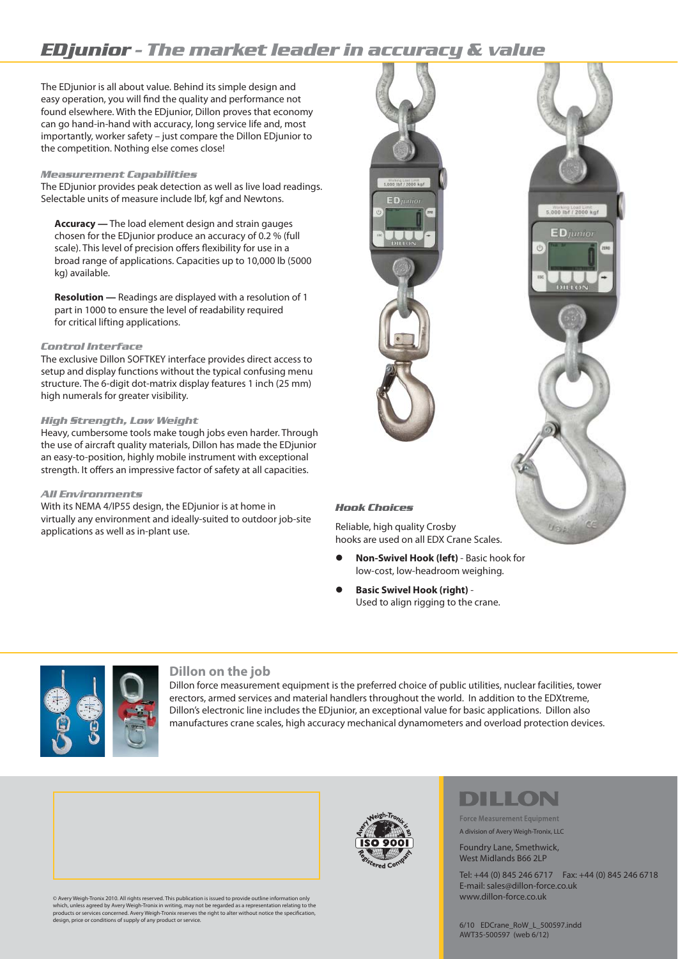## *EDjunior - The market leader in accuracy & value*

The EDjunior is all about value. Behind its simple design and easy operation, you will find the quality and performance not found elsewhere. With the EDjunior, Dillon proves that economy can go hand-in-hand with accuracy, long service life and, most importantly, worker safety – just compare the Dillon EDjunior to the competition. Nothing else comes close!

#### *Measurement Capabilities*

The EDjunior provides peak detection as well as live load readings. Selectable units of measure include lbf, kgf and Newtons.

 **Accuracy —** The load element design and strain gauges chosen for the EDjunior produce an accuracy of 0.2 % (full scale). This level of precision offers flexibility for use in a broad range of applications. Capacities up to 10,000 lb (5000 kg) available.

 **Resolution —** Readings are displayed with a resolution of 1 part in 1000 to ensure the level of readability required for critical lifting applications.

#### *Control Interface*

The exclusive Dillon SOFTKEY interface provides direct access to setup and display functions without the typical confusing menu structure. The 6-digit dot-matrix display features 1 inch (25 mm) high numerals for greater visibility.

#### *High Strength, Low Weight*

Heavy, cumbersome tools make tough jobs even harder. Through the use of aircraft quality materials, Dillon has made the EDjunior an easy-to-position, highly mobile instrument with exceptional strength. It offers an impressive factor of safety at all capacities.

#### *All Environments*

With its NEMA 4/IP55 design, the EDjunior is at home in virtually any environment and ideally-suited to outdoor job-site applications as well as in-plant use.



#### *Hook Choices*

Reliable, high quality Crosby hooks are used on all EDX Crane Scales.

- **Non-Swivel Hook (left)** Basic hook for low-cost, low-headroom weighing.
- **Basic Swivel Hook (right)** Used to align rigging to the crane.



#### **Dillon on the job**

Dillon force measurement equipment is the preferred choice of public utilities, nuclear facilities, tower erectors, armed services and material handlers throughout the world. In addition to the EDXtreme, Dillon's electronic line includes the EDjunior, an exceptional value for basic applications. Dillon also manufactures crane scales, high accuracy mechanical dynamometers and overload protection devices.



© Avery Weigh-Tronix 2010. All rights reserved. This publication is issued to provide outline information only which, unless agreed by Avery Weigh-Tronix in writing, may not be regarded as a representation relating to the<br>products or services concerned. Avery Weigh-Tronix reserves the right to alter without notice the specification



# DILLON

**Force Measurement Equipment** A division of Avery Weigh-Tronix, LLC

#### Foundry Lane, Smethwick, West Midlands B66 2LP

Tel: +44 (0) 845 246 6717 Fax: +44 (0) 845 246 6718 E-mail: sales@dillon-force.co.uk www.dillon-force.co.uk

Useb

6/10 EDCrane\_RoW\_L\_500597.indd AWT35-500597 (web 6/12)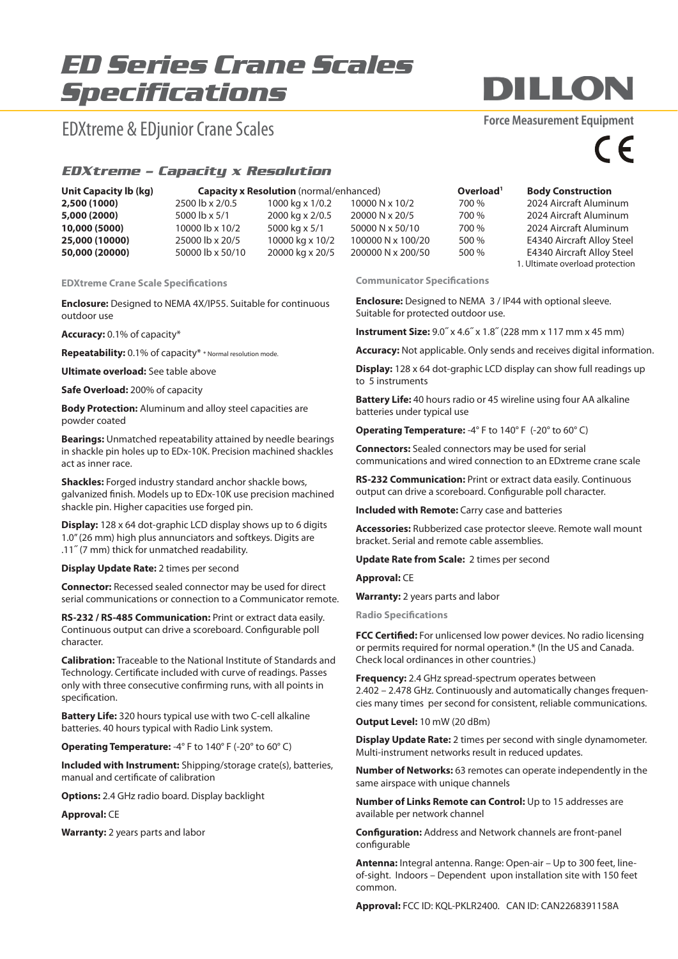# *ED Series Crane Scales Specifications*

## EDXtreme & EDjunior Crane Scales

### **Force Measurement Equipment**

**DILLON** 

 $\epsilon$ 

#### *EDXtreme – Capacity x Resolution*

| <b>Unit Capacity Ib (kg)</b> |                  | <b>Capacity x Resolution</b> (normal/enhanced) | Overload <sup>1</sup> | <b>Body Construction</b> |                                 |
|------------------------------|------------------|------------------------------------------------|-----------------------|--------------------------|---------------------------------|
| 2,500 (1000)                 | 2500 lb x 2/0.5  | 1000 kg x 1/0.2                                | 10000 N x 10/2        | 700 %                    | 2024 Aircraft Aluminum          |
| 5,000 (2000)                 | 5000 lb x 5/1    | 2000 kg x 2/0.5                                | 20000 N x 20/5        | 700 %                    | 2024 Aircraft Aluminum          |
| 10,000 (5000)                | 10000 lb x 10/2  | 5000 kg x 5/1                                  | 50000 N x 50/10       | 700 %                    | 2024 Aircraft Aluminum          |
| 25,000 (10000)               | 25000 lb x 20/5  | 10000 kg x 10/2                                | 100000 N x 100/20     | 500 %                    | E4340 Aircraft Alloy Steel      |
| 50,000 (20000)               | 50000 lb x 50/10 | 20000 kg x 20/5                                | 200000 N x 200/50     | 500 %                    | E4340 Aircraft Alloy Steel      |
|                              |                  |                                                |                       |                          | 1. Ultimate overload protection |

**EDXtreme Crane Scale Specifications** 

**Enclosure:** Designed to NEMA 4X/IP55. Suitable for continuous outdoor use

**Accuracy:** 0.1% of capacity\*

**Repeatability:** 0.1% of capacity\* \* Normal resolution mode.

**Ultimate overload:** See table above

**Safe Overload:** 200% of capacity

**Body Protection:** Aluminum and alloy steel capacities are powder coated

**Bearings:** Unmatched repeatability attained by needle bearings in shackle pin holes up to EDx-10K. Precision machined shackles act as inner race.

**Shackles:** Forged industry standard anchor shackle bows, galvanized finish. Models up to EDx-10K use precision machined shackle pin. Higher capacities use forged pin.

**Display:** 128 x 64 dot-graphic LCD display shows up to 6 digits 1.0" (26 mm) high plus annunciators and softkeys. Digits are .11˝ (7 mm) thick for unmatched readability.

#### **Display Update Rate:** 2 times per second

**Connector:** Recessed sealed connector may be used for direct serial communications or connection to a Communicator remote.

**RS-232 / RS-485 Communication:** Print or extract data easily. Continuous output can drive a scoreboard. Configurable poll character.

**Calibration:** Traceable to the National Institute of Standards and Technology. Certificate included with curve of readings. Passes only with three consecutive confirming runs, with all points in specification.

**Battery Life:** 320 hours typical use with two C-cell alkaline batteries. 40 hours typical with Radio Link system.

**Operating Temperature:** -4° F to 140° F (-20° to 60° C)

**Included with Instrument:** Shipping/storage crate(s), batteries, manual and certificate of calibration

**Options:** 2.4 GHz radio board. Display backlight

**Approval:** CE

**Warranty:** 2 years parts and labor

**Communicator Specifications** 

**Enclosure:** Designed to NEMA 3 / IP44 with optional sleeve. Suitable for protected outdoor use.

**Instrument Size:** 9.0˝ x 4.6˝ x 1.8˝ (228 mm x 117 mm x 45 mm)

**Accuracy:** Not applicable. Only sends and receives digital information.

**Display:** 128 x 64 dot-graphic LCD display can show full readings up to 5 instruments

**Battery Life:** 40 hours radio or 45 wireline using four AA alkaline batteries under typical use

**Operating Temperature:** -4° F to 140° F (-20° to 60° C)

**Connectors:** Sealed connectors may be used for serial communications and wired connection to an EDxtreme crane scale

**RS-232 Communication:** Print or extract data easily. Continuous output can drive a scoreboard. Configurable poll character.

**Included with Remote:** Carry case and batteries

**Accessories:** Rubberized case protector sleeve. Remote wall mount bracket. Serial and remote cable assemblies.

**Update Rate from Scale:** 2 times per second

**Approval:** CE

**Warranty:** 2 years parts and labor

**Radio Specifications** 

**FCC Certified:** For unlicensed low power devices. No radio licensing or permits required for normal operation.\* (In the US and Canada. Check local ordinances in other countries.)

**Frequency:** 2.4 GHz spread-spectrum operates between 2.402 – 2.478 GHz. Continuously and automatically changes frequencies many times per second for consistent, reliable communications.

**Output Level:** 10 mW (20 dBm)

**Display Update Rate:** 2 times per second with single dynamometer. Multi-instrument networks result in reduced updates.

**Number of Networks:** 63 remotes can operate independently in the same airspace with unique channels

**Number of Links Remote can Control:** Up to 15 addresses are available per network channel

**Configuration:** Address and Network channels are front-panel configurable

**Antenna:** Integral antenna. Range: Open-air – Up to 300 feet, lineof-sight. Indoors – Dependent upon installation site with 150 feet common.

**Approval:** FCC ID: KQL-PKLR2400. CAN ID: CAN2268391158A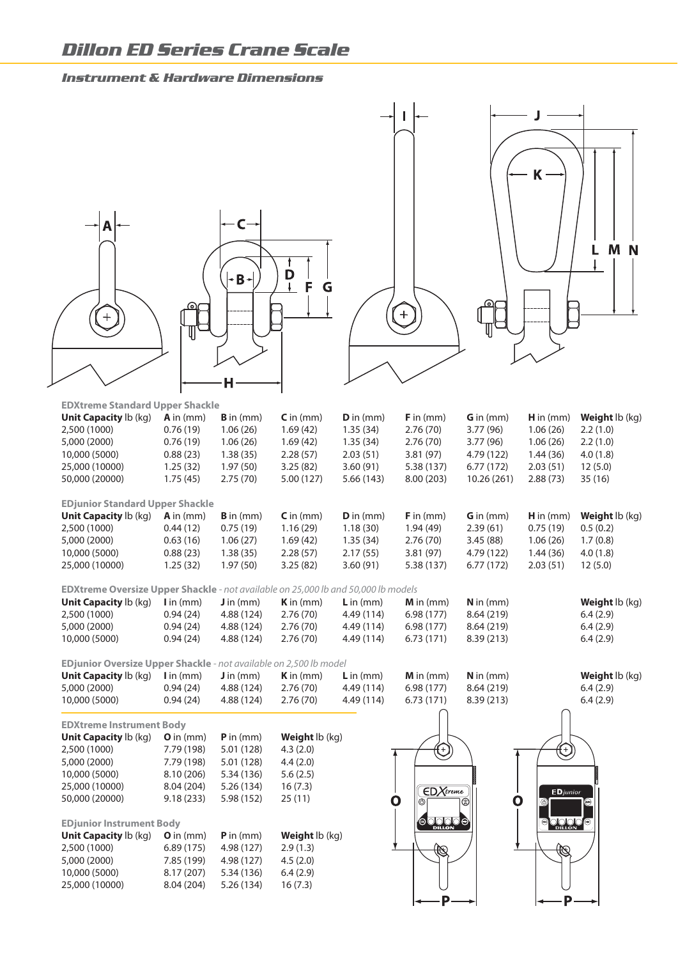#### *Instrument & Hardware Dimensions*



P

D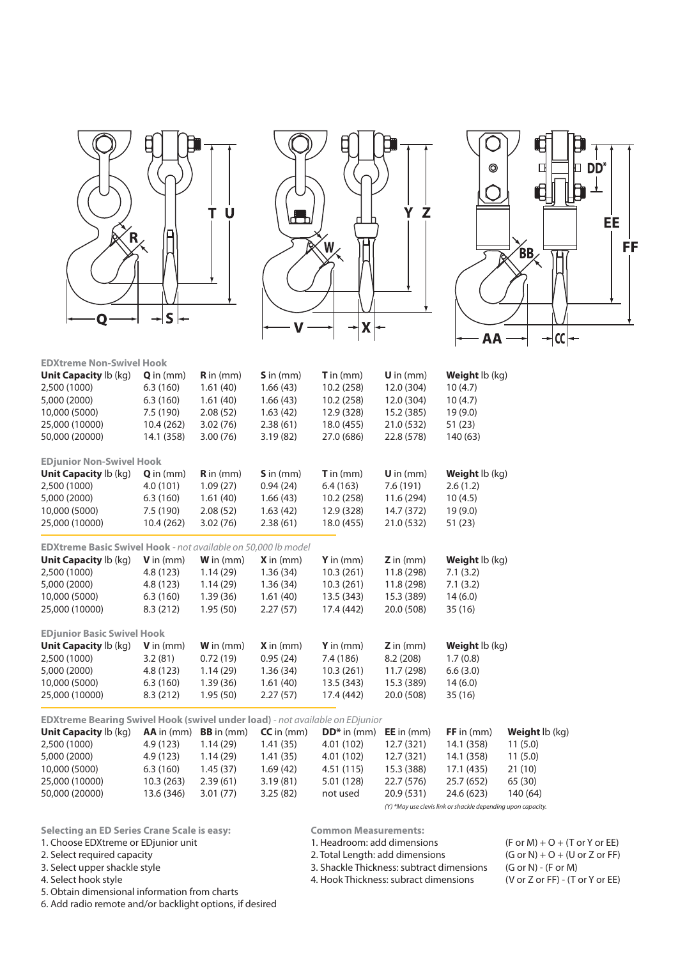





| <b>EDXtreme Non-Swivel Hook</b>                                                     |                    |                           |                      |                    |                     |                       |                |
|-------------------------------------------------------------------------------------|--------------------|---------------------------|----------------------|--------------------|---------------------|-----------------------|----------------|
| Unit Capacity lb (kg)                                                               | $Q$ in (mm)        | $\mathbf{R}$ in (mm)      | $S$ in (mm)          | <b>T</b> in $(mm)$ | $U$ in (mm)         | <b>Weight</b> lb (kg) |                |
| 2,500 (1000)                                                                        | 6.3(160)           | 1.61(40)                  | 1.66(43)             | 10.2 (258)         | 12.0 (304)          | 10(4.7)               |                |
| 5,000 (2000)                                                                        | 6.3(160)           | 1.61(40)                  | 1.66(43)             | 10.2(258)          | 12.0 (304)          | 10(4.7)               |                |
| 10,000 (5000)                                                                       | 7.5 (190)          | 2.08(52)                  | 1.63(42)             | 12.9 (328)         | 15.2 (385)          | 19(9.0)               |                |
| 25,000 (10000)                                                                      | 10.4(262)          | 3.02(76)                  | 2.38(61)             | 18.0 (455)         | 21.0 (532)          | 51(23)                |                |
| 50,000 (20000)                                                                      | 14.1 (358)         | 3.00(76)                  | 3.19(82)             | 27.0 (686)         | 22.8 (578)          | 140 (63)              |                |
| <b>EDjunior Non-Swivel Hook</b>                                                     |                    |                           |                      |                    |                     |                       |                |
| <b>Unit Capacity Ib (kg)</b>                                                        | $Q$ in $(mm)$      | $\mathbf{R}$ in (mm)      | $\mathsf{S}$ in (mm) | $T$ in (mm)        | $U$ in (mm)         | Weight lb (kg)        |                |
| 2,500 (1000)                                                                        | 4.0(101)           | 1.09(27)                  | 0.94(24)             | 6.4(163)           | 7.6 (191)           | 2.6(1.2)              |                |
| 5,000 (2000)                                                                        | 6.3(160)           | 1.61(40)                  | 1.66(43)             | 10.2(258)          | 11.6 (294)          | 10(4.5)               |                |
| 10,000 (5000)                                                                       | 7.5(190)           | 2.08(52)                  | 1.63(42)             | 12.9 (328)         | 14.7 (372)          | 19(9.0)               |                |
| 25,000 (10000)                                                                      | 10.4(262)          | 3.02(76)                  | 2.38(61)             | 18.0 (455)         | 21.0 (532)          | 51(23)                |                |
| EDXtreme Basic Swivel Hook - not available on 50,000 lb model                       |                    |                           |                      |                    |                     |                       |                |
| <b>Unit Capacity Ib (kg)</b>                                                        | <b>V</b> in $(mm)$ | <b>W</b> in $(mm)$        | $X$ in (mm)          | Y in $(mm)$        | $Z$ in (mm)         | <b>Weight</b> lb (kg) |                |
| 2,500 (1000)                                                                        | 4.8(123)           | 1.14(29)                  | 1.36(34)             | 10.3(261)          | 11.8 (298)          | 7.1(3.2)              |                |
| 5,000 (2000)                                                                        | 4.8(123)           | 1.14(29)                  | 1.36(34)             | 10.3(261)          | 11.8 (298)          | 7.1(3.2)              |                |
| 10,000 (5000)                                                                       | 6.3(160)           | 1.39(36)                  | 1.61(40)             | 13.5 (343)         | 15.3 (389)          | 14(6.0)               |                |
| 25,000 (10000)                                                                      | 8.3(212)           | 1.95(50)                  | 2.27(57)             | 17.4 (442)         | 20.0 (508)          | 35(16)                |                |
| <b>EDjunior Basic Swivel Hook</b>                                                   |                    |                           |                      |                    |                     |                       |                |
| <b>Unit Capacity Ib (kg)</b>                                                        | <b>V</b> in $(mm)$ | $W$ in $(mm)$             | $X$ in (mm)          | $Y$ in (mm)        | $Z$ in (mm)         | Weight lb (kg)        |                |
| 2,500 (1000)                                                                        | 3.2(81)            | 0.72(19)                  | 0.95(24)             | 7.4 (186)          | 8.2(208)            | 1.7(0.8)              |                |
| 5,000 (2000)                                                                        | 4.8(123)           | 1.14(29)                  | 1.36(34)             | 10.3(261)          | 11.7 (298)          | 6.6(3.0)              |                |
| 10,000 (5000)                                                                       | 6.3(160)           | 1.39(36)                  | 1.61(40)             | 13.5 (343)         | 15.3 (389)          | 14(6.0)               |                |
| 25,000 (10000)                                                                      | 8.3(212)           | 1.95(50)                  | 2.27(57)             | 17.4 (442)         | 20.0 (508)          | 35(16)                |                |
| <b>EDXtreme Bearing Swivel Hook (swivel under load)</b> - not available on EDjunior |                    |                           |                      |                    |                     |                       |                |
| <b>Unit Capacity Ib (kg)</b>                                                        |                    | $AA$ in (mm) $BB$ in (mm) | $CC$ in $(mm)$       | $DD*$ in $(mm)$    | <b>EE</b> in $(mm)$ | $FF$ in $(mm)$        | Weight lb (kg) |
| 2,500 (1000)                                                                        | 4.9(123)           | 1.14(29)                  | 1.41(35)             | 4.01 (102)         | 12.7 (321)          | 14.1 (358)            | 11(5.0)        |

2,500 (1000) 4.9 (123) 1.14 (29) 1.41 (35) 4.01 (102) 12.7 (321) 14.1 (358) 11 (5.0) 5,000 (2000) 4.9 (123) 1.14 (29) 1.41 (35) 4.01 (102) 12.7 (321) 14.1 (358) 11 (5.0) 10,000 (5000) 6.3 (160) 1.45 (37) 1.69 (42) 4.51 (115) 15.3 (388) 17.1 (435) 21 (10) 25,000 (10000) 10.3 (263) 2.39 (61) 3.19 (81) 5.01 (128) 22.7 (576) 25.7 (652) 65 (30) 50,000 (20000) 13.6 (346) 3.01 (77) 3.25 (82) not used 20.9 (531) 24.6 (623) 140 (64) *(Y) \*May use clevis link or shackle depending upon capacity.*

**Selecting an ED Series Crane Scale is easy: Common Measurements:** 

5. Obtain dimensional information from charts

6. Add radio remote and/or backlight options, if desired

2. Total Length: add dimensions

4. Hook Thickness: subract dimensions

1. Choose EDXtreme or EDjunior unit 1. Headroom: add dimensions (F or M) + O + (T or Y or EE)<br>2. Select required capacity 2. Total Length: add dimensions (G or N) + O + (U or Z or FF) 3. Select upper shackle style 3. Shackle Thickness: subtract dimensions (G or N) - (F or M)<br>3. Shackle Thickness: subtract dimensions (V or Z or FF) - (T or Y or EE)